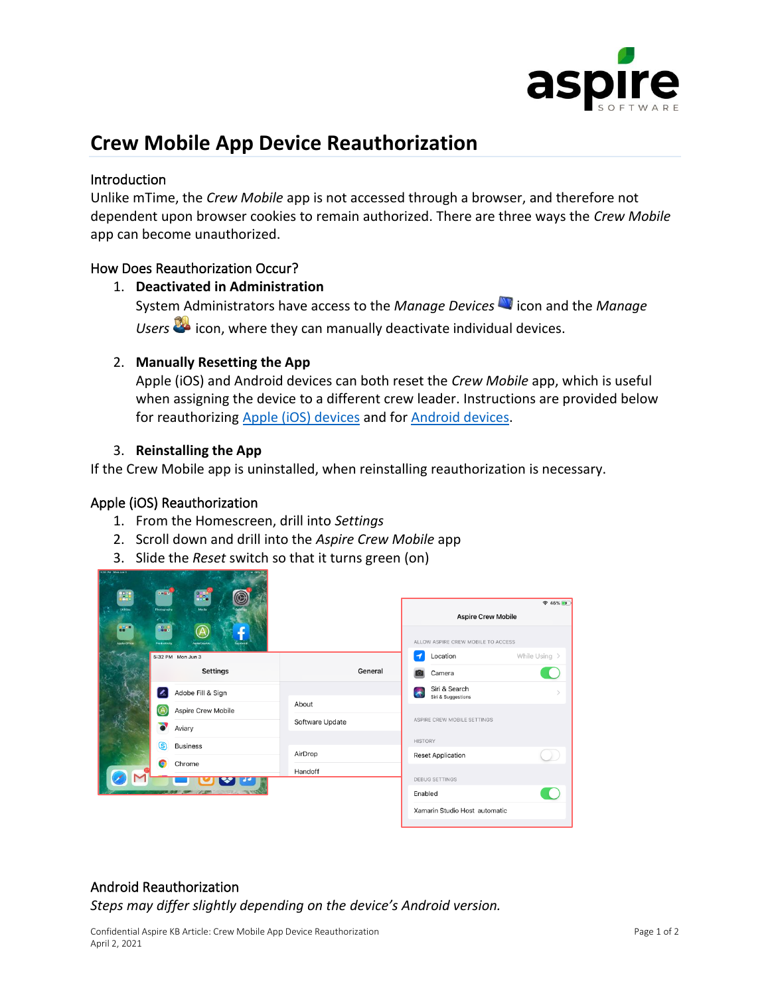

# **Crew Mobile App Device Reauthorization**

#### Introduction

Unlike mTime, the *Crew Mobile* app is not accessed through a browser, and therefore not dependent upon browser cookies to remain authorized. There are three ways the *Crew Mobile* app can become unauthorized.

## How Does Reauthorization Occur?

#### 1. **Deactivated in Administration**

System Administrators have access to the *Manage Devices* **in** icon and the *Manage* Users<sup>22</sup> icon, where they can manually deactivate individual devices.

## 2. **Manually Resetting the App**

Apple (iOS) and Android devices can both reset the *Crew Mobile* app, which is useful when assigning the device to a different crew leader. Instructions are provided below for reauthorizing [Apple \(iOS\) devices](#page-0-0) and for [Android devices.](#page-0-1)

#### 3. **Reinstalling the App**

If the Crew Mobile app is uninstalled, when reinstalling reauthorization is necessary.

## <span id="page-0-0"></span>Apple (iOS) Reauthorization

- 1. From the Homescreen, drill into *Settings*
- 2. Scroll down and drill into the *Aspire Crew Mobile* app
- 3. Slide the *Reset* switch so that it turns green (on)

| <b>DROW</b><br>翳<br>開催<br><b>Utilities</b><br>Media<br>Photography<br><b>Barn</b><br>18.<br>$\Delta$               |                          | $\approx 46\%$<br><b>Aspire Crew Mobile</b>                             |               |
|--------------------------------------------------------------------------------------------------------------------|--------------------------|-------------------------------------------------------------------------|---------------|
| <b>Facebook</b><br><b>Apple Office</b><br>Productivity<br>AspireCrewMo.<br>$\sim$<br>5:32 PM Mon Jun 3<br>Settings | General                  | ALLOW ASPIRE CREW MOBILE TO ACCESS<br>Location<br>ィ<br>Camera           | While Using > |
| Adobe Fill & Sign<br>I.<br><b>A</b><br>Aspire Crew Mobile                                                          | About<br>Software Update | Siri & Search<br>Ā<br>Siri & Suggestions<br>ASPIRE CREW MOBILE SETTINGS |               |
| Aviary<br>ල<br><b>Business</b>                                                                                     | AirDrop                  | <b>HISTORY</b><br><b>Reset Application</b>                              |               |
| Chrome<br>G                                                                                                        | Handoff                  | DEBUG SETTINGS<br>Enabled                                               |               |

# <span id="page-0-1"></span>Android Reauthorization

*Steps may differ slightly depending on the device's Android version.*